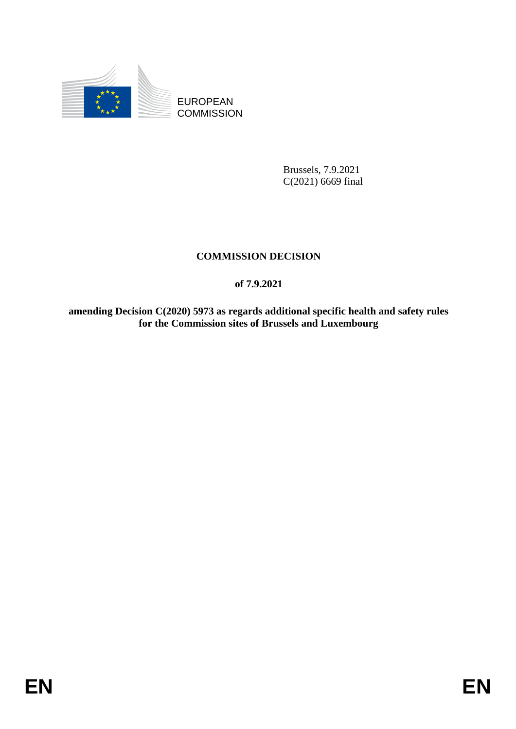

EUROPEAN **COMMISSION** 

> Brussels, 7.9.2021 C(2021) 6669 final

# **COMMISSION DECISION**

## **of 7.9.2021**

**amending Decision C(2020) 5973 as regards additional specific health and safety rules for the Commission sites of Brussels and Luxembourg**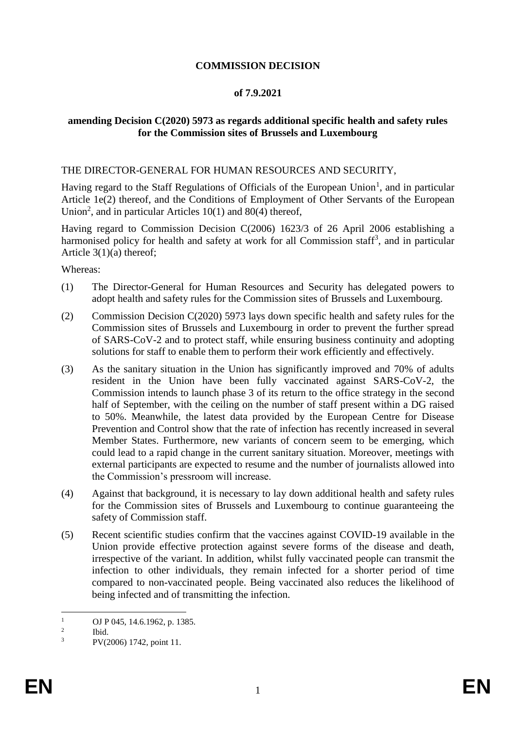## **COMMISSION DECISION**

#### **of 7.9.2021**

### **amending Decision C(2020) 5973 as regards additional specific health and safety rules for the Commission sites of Brussels and Luxembourg**

#### THE DIRECTOR-GENERAL FOR HUMAN RESOURCES AND SECURITY,

Having regard to the Staff Regulations of Officials of the European Union<sup>1</sup>, and in particular Article 1e(2) thereof, and the Conditions of Employment of Other Servants of the European Union<sup>2</sup>, and in particular Articles  $10(1)$  and  $80(4)$  thereof,

Having regard to Commission Decision C(2006) 1623/3 of 26 April 2006 establishing a harmonised policy for health and safety at work for all Commission staff<sup>3</sup>, and in particular Article 3(1)(a) thereof;

Whereas:

- (1) The Director-General for Human Resources and Security has delegated powers to adopt health and safety rules for the Commission sites of Brussels and Luxembourg.
- (2) Commission Decision C(2020) 5973 lays down specific health and safety rules for the Commission sites of Brussels and Luxembourg in order to prevent the further spread of SARS-CoV-2 and to protect staff, while ensuring business continuity and adopting solutions for staff to enable them to perform their work efficiently and effectively.
- (3) As the sanitary situation in the Union has significantly improved and 70% of adults resident in the Union have been fully vaccinated against SARS-CoV-2, the Commission intends to launch phase 3 of its return to the office strategy in the second half of September, with the ceiling on the number of staff present within a DG raised to 50%. Meanwhile, the latest data provided by the European Centre for Disease Prevention and Control show that the rate of infection has recently increased in several Member States. Furthermore, new variants of concern seem to be emerging, which could lead to a rapid change in the current sanitary situation. Moreover, meetings with external participants are expected to resume and the number of journalists allowed into the Commission's pressroom will increase.
- (4) Against that background, it is necessary to lay down additional health and safety rules for the Commission sites of Brussels and Luxembourg to continue guaranteeing the safety of Commission staff.
- (5) Recent scientific studies confirm that the vaccines against COVID-19 available in the Union provide effective protection against severe forms of the disease and death, irrespective of the variant. In addition, whilst fully vaccinated people can transmit the infection to other individuals, they remain infected for a shorter period of time compared to non-vaccinated people. Being vaccinated also reduces the likelihood of being infected and of transmitting the infection.

 $\mathbf{1}$ OJ P 045, 14.6.1962, p. 1385.

 $\overline{2}$ Ibid.

<sup>3</sup> PV(2006) 1742, point 11.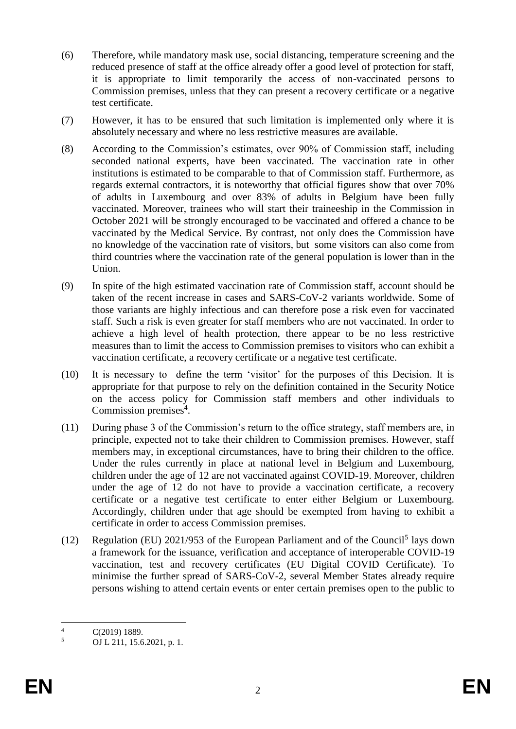- (6) Therefore, while mandatory mask use, social distancing, temperature screening and the reduced presence of staff at the office already offer a good level of protection for staff, it is appropriate to limit temporarily the access of non-vaccinated persons to Commission premises, unless that they can present a recovery certificate or a negative test certificate.
- (7) However, it has to be ensured that such limitation is implemented only where it is absolutely necessary and where no less restrictive measures are available.
- (8) According to the Commission's estimates, over 90% of Commission staff, including seconded national experts, have been vaccinated. The vaccination rate in other institutions is estimated to be comparable to that of Commission staff. Furthermore, as regards external contractors, it is noteworthy that official figures show that over 70% of adults in Luxembourg and over 83% of adults in Belgium have been fully vaccinated. Moreover, trainees who will start their traineeship in the Commission in October 2021 will be strongly encouraged to be vaccinated and offered a chance to be vaccinated by the Medical Service. By contrast, not only does the Commission have no knowledge of the vaccination rate of visitors, but some visitors can also come from third countries where the vaccination rate of the general population is lower than in the Union.
- (9) In spite of the high estimated vaccination rate of Commission staff, account should be taken of the recent increase in cases and SARS-CoV-2 variants worldwide. Some of those variants are highly infectious and can therefore pose a risk even for vaccinated staff. Such a risk is even greater for staff members who are not vaccinated. In order to achieve a high level of health protection, there appear to be no less restrictive measures than to limit the access to Commission premises to visitors who can exhibit a vaccination certificate, a recovery certificate or a negative test certificate.
- (10) It is necessary to define the term 'visitor' for the purposes of this Decision. It is appropriate for that purpose to rely on the definition contained in the Security Notice on the access policy for Commission staff members and other individuals to Commission premises<sup>4</sup>.
- (11) During phase 3 of the Commission's return to the office strategy, staff members are, in principle, expected not to take their children to Commission premises. However, staff members may, in exceptional circumstances, have to bring their children to the office. Under the rules currently in place at national level in Belgium and Luxembourg, children under the age of 12 are not vaccinated against COVID-19. Moreover, children under the age of 12 do not have to provide a vaccination certificate, a recovery certificate or a negative test certificate to enter either Belgium or Luxembourg. Accordingly, children under that age should be exempted from having to exhibit a certificate in order to access Commission premises.
- (12) Regulation (EU)  $2021/953$  of the European Parliament and of the Council<sup>5</sup> lays down a framework for the issuance, verification and acceptance of interoperable COVID-19 vaccination, test and recovery certificates (EU Digital COVID Certificate). To minimise the further spread of SARS-CoV-2, several Member States already require persons wishing to attend certain events or enter certain premises open to the public to

 $\overline{4}$  $\frac{4}{5}$  C(2019) 1889.

<sup>5</sup> OJ L 211, 15.6.2021, p. 1.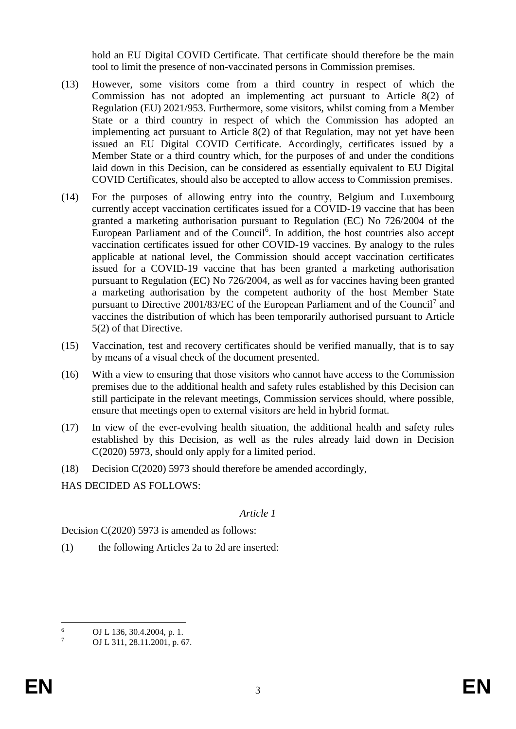hold an EU Digital COVID Certificate. That certificate should therefore be the main tool to limit the presence of non-vaccinated persons in Commission premises.

- (13) However, some visitors come from a third country in respect of which the Commission has not adopted an implementing act pursuant to Article 8(2) of Regulation (EU) 2021/953. Furthermore, some visitors, whilst coming from a Member State or a third country in respect of which the Commission has adopted an implementing act pursuant to Article 8(2) of that Regulation, may not yet have been issued an EU Digital COVID Certificate. Accordingly, certificates issued by a Member State or a third country which, for the purposes of and under the conditions laid down in this Decision, can be considered as essentially equivalent to EU Digital COVID Certificates, should also be accepted to allow access to Commission premises.
- (14) For the purposes of allowing entry into the country, Belgium and Luxembourg currently accept vaccination certificates issued for a COVID-19 vaccine that has been granted a marketing authorisation pursuant to Regulation (EC) No 726/2004 of the European Parliament and of the Council<sup>6</sup>. In addition, the host countries also accept vaccination certificates issued for other COVID-19 vaccines. By analogy to the rules applicable at national level, the Commission should accept vaccination certificates issued for a COVID-19 vaccine that has been granted a marketing authorisation pursuant to Regulation (EC) No 726/2004, as well as for vaccines having been granted a marketing authorisation by the competent authority of the host Member State pursuant to Directive 2001/83/EC of the European Parliament and of the Council<sup>7</sup> and vaccines the distribution of which has been temporarily authorised pursuant to Article 5(2) of that Directive.
- (15) Vaccination, test and recovery certificates should be verified manually, that is to say by means of a visual check of the document presented.
- (16) With a view to ensuring that those visitors who cannot have access to the Commission premises due to the additional health and safety rules established by this Decision can still participate in the relevant meetings, Commission services should, where possible, ensure that meetings open to external visitors are held in hybrid format.
- (17) In view of the ever-evolving health situation, the additional health and safety rules established by this Decision, as well as the rules already laid down in Decision C(2020) 5973, should only apply for a limited period.
- (18) Decision C(2020) 5973 should therefore be amended accordingly,

HAS DECIDED AS FOLLOWS:

#### *Article 1*

Decision C(2020) 5973 is amended as follows:

(1) the following Articles 2a to 2d are inserted:

 $\overline{6}$  $^{6}$  OJ L 136, 30.4.2004, p. 1.<br>  $^{7}$  OJ L 211, 28, 11, 2001, p. 6

OJ L 311, 28.11.2001, p. 67.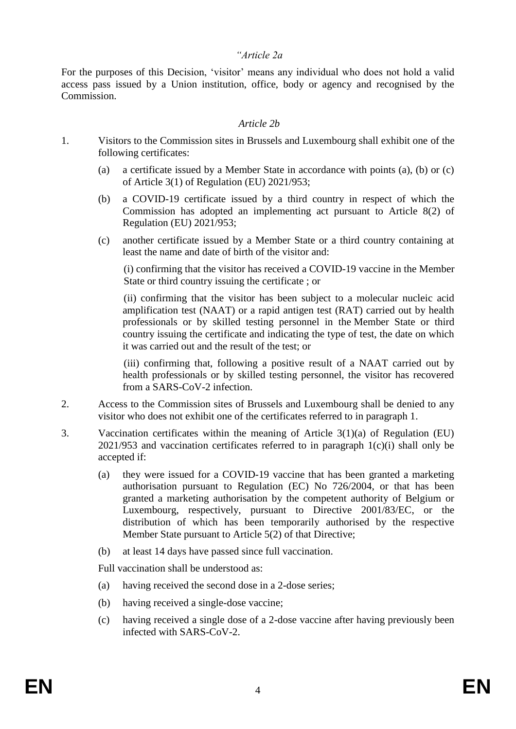#### *"Article 2a*

For the purposes of this Decision, 'visitor' means any individual who does not hold a valid access pass issued by a Union institution, office, body or agency and recognised by the Commission.

#### *Article 2b*

- 1. Visitors to the Commission sites in Brussels and Luxembourg shall exhibit one of the following certificates:
	- (a) a certificate issued by a Member State in accordance with points (a), (b) or (c) of Article 3(1) of Regulation (EU) 2021/953;
	- (b) a COVID-19 certificate issued by a third country in respect of which the Commission has adopted an implementing act pursuant to Article 8(2) of Regulation (EU) 2021/953;
	- (c) another certificate issued by a Member State or a third country containing at least the name and date of birth of the visitor and:

(i) confirming that the visitor has received a COVID-19 vaccine in the Member State or third country issuing the certificate ; or

(ii) confirming that the visitor has been subject to a molecular nucleic acid amplification test (NAAT) or a rapid antigen test (RAT) carried out by health professionals or by skilled testing personnel in the Member State or third country issuing the certificate and indicating the type of test, the date on which it was carried out and the result of the test; or

(iii) confirming that, following a positive result of a NAAT carried out by health professionals or by skilled testing personnel, the visitor has recovered from a SARS-CoV-2 infection.

- 2. Access to the Commission sites of Brussels and Luxembourg shall be denied to any visitor who does not exhibit one of the certificates referred to in paragraph 1.
- 3. Vaccination certificates within the meaning of Article 3(1)(a) of Regulation (EU)  $2021/953$  and vaccination certificates referred to in paragraph  $1(c)(i)$  shall only be accepted if:
	- (a) they were issued for a COVID-19 vaccine that has been granted a marketing authorisation pursuant to Regulation (EC) No 726/2004, or that has been granted a marketing authorisation by the competent authority of Belgium or Luxembourg, respectively, pursuant to Directive 2001/83/EC, or the distribution of which has been temporarily authorised by the respective Member State pursuant to Article 5(2) of that Directive;
	- (b) at least 14 days have passed since full vaccination.

Full vaccination shall be understood as:

- (a) having received the second dose in a 2-dose series;
- (b) having received a single-dose vaccine;
- (c) having received a single dose of a 2-dose vaccine after having previously been infected with SARS-CoV-2.